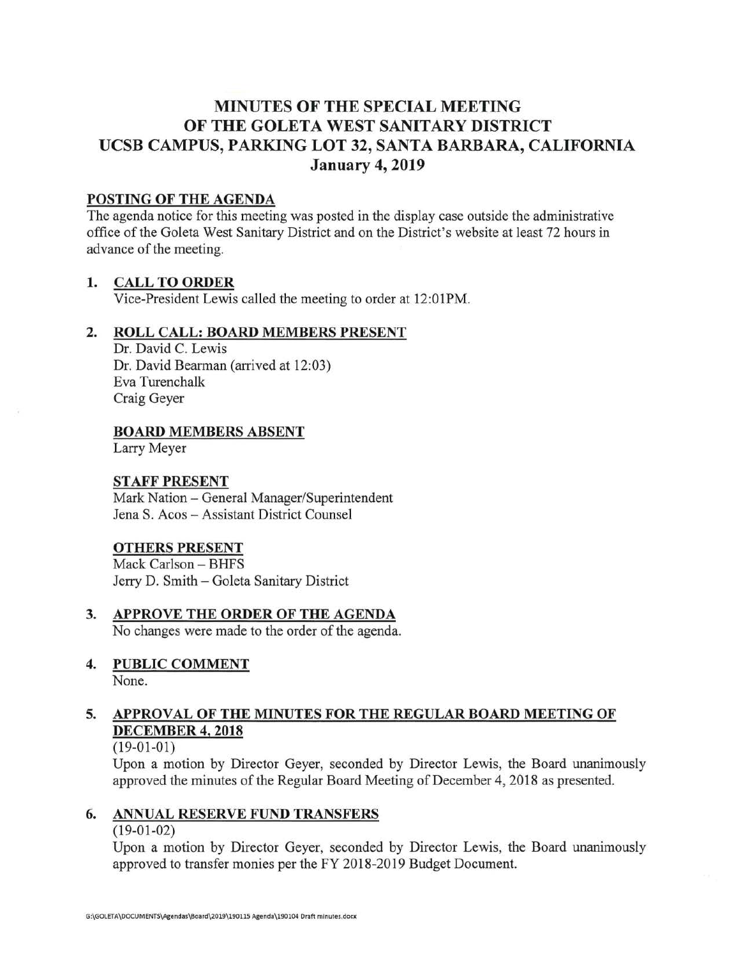# **MINUTES OF THE SPECIAL MEETING OF THE GOLETA WEST SANITARY DISTRICT UCSB CAMPUS, PARKING LOT 32, SANTA BARBARA, CALIFORNIA January 4, 2019**

### **POSTING OF THE AGENDA**

The agenda notice for this meeting was posted in the display case outside the administrative office of the Goleta West Sanitary District and on the District's website at least 72 hours in advance of the meeting.

## **1. CALL TO ORDER**

Vice-President Lewis called the meeting to order at 12:01PM.

## **2. ROLL CALL: BOARD MEMBERS PRESENT**

Dr. David C. Lewis Dr. David Bearman (arrived at 12:03) Eva Turenchalk Craig Geyer

**BOARD MEMBERS ABSENT** 

Larry Meyer

### **STAFF PRESENT**

Mark Nation- General Manager/Superintendent Jena S. Acos - Assistant District Counsel

### **OTHERS PRESENT**

Mack Carlson - BHFS Jerry D. Smith- Goleta Sanitary District

- **3. APPROVE THE ORDER OF THE AGENDA**  No changes were made to the order of the agenda.
- **4. PUBLIC COMMENT**  None.

# **5. APPROVAL OF THE MINUTES FOR THE REGULAR BOARD MEETING OF DECEMBER 4, 2018**

(19-01-01)

Upon a motion by Director Geyer, seconded by Director Lewis, the Board unanimously approved the minutes of the Regular Board Meeting of December 4, 2018 as presented.

# **6. ANNUAL RESERVE FUND TRANSFERS**

(19-01-02)

Upon a motion by Director Geyer, seconded by Director Lewis, the Board unanimously approved to transfer monies per the FY 2018-2019 Budget Document.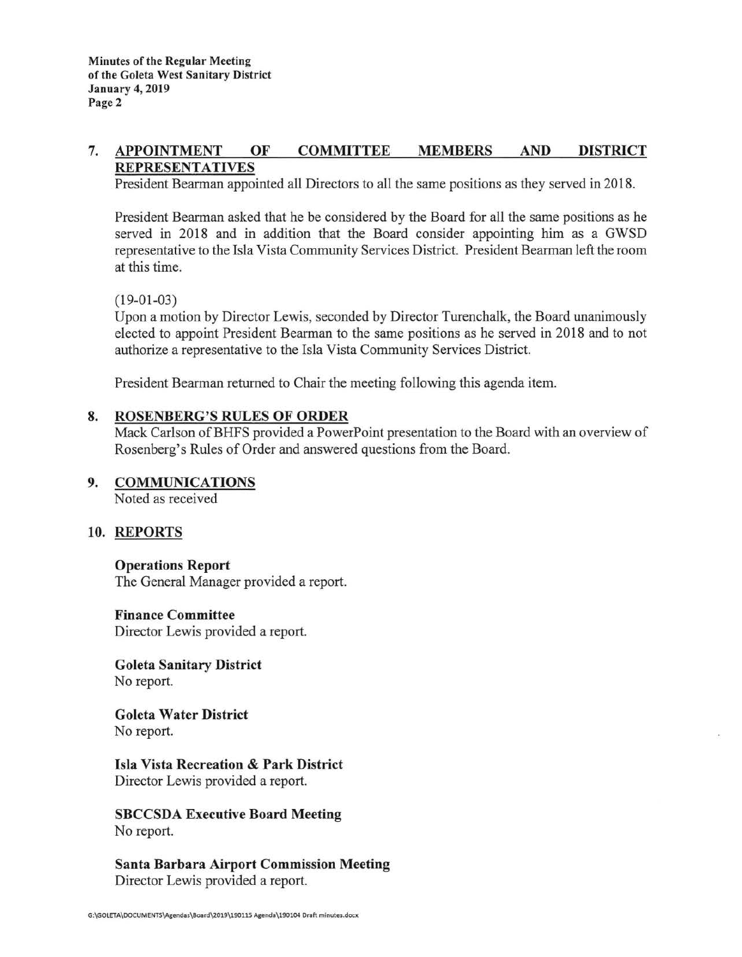#### **7. APPOINTMENT OF REPRESENTATIVES COMMITTEE MEMBERS AND DISTRICT**

President Bearman appointed all Directors to all the same positions as they served in 2018.

President Bearman asked that he be considered by the Board for all the same positions as he served in 2018 and in addition that the Board consider appointing him as a GWSD representative to the Isla Vista Community Services District. President Bearman left the room at this time.

 $(19-01-03)$ 

Upon a motion by Director Lewis, seconded by Director Turenchalk, the Board unanimously elected to appoint President Bearman to the same positions as he served in 2018 and to not authorize a representative to the Isla Vista Community Services District.

President Bearman returned to Chair the meeting following this agenda item.

### **8. ROSENBERG'S RULES OF ORDER**

Mack Carlson of BHFS provided a PowerPoint presentation to the Board with an overview of Rosenberg's Rules of Order and answered questions from the Board.

### **9. COMMUNICATIONS**

Noted as received

### **10. REPORTS**

#### **Operations Report**

The General Manager provided a report.

#### **Finance Committee**

Director Lewis provided a report.

**Goleta Sanitary District**  No report.

**Goleta Water District**  No report.

**Isla Vista Recreation** & **Park District**  Director Lewis provided a report.

**SBCCSDA Executive Board Meeting**  No report.

**Santa Barbara Airport Commission Meeting**  Director Lewis provided a report.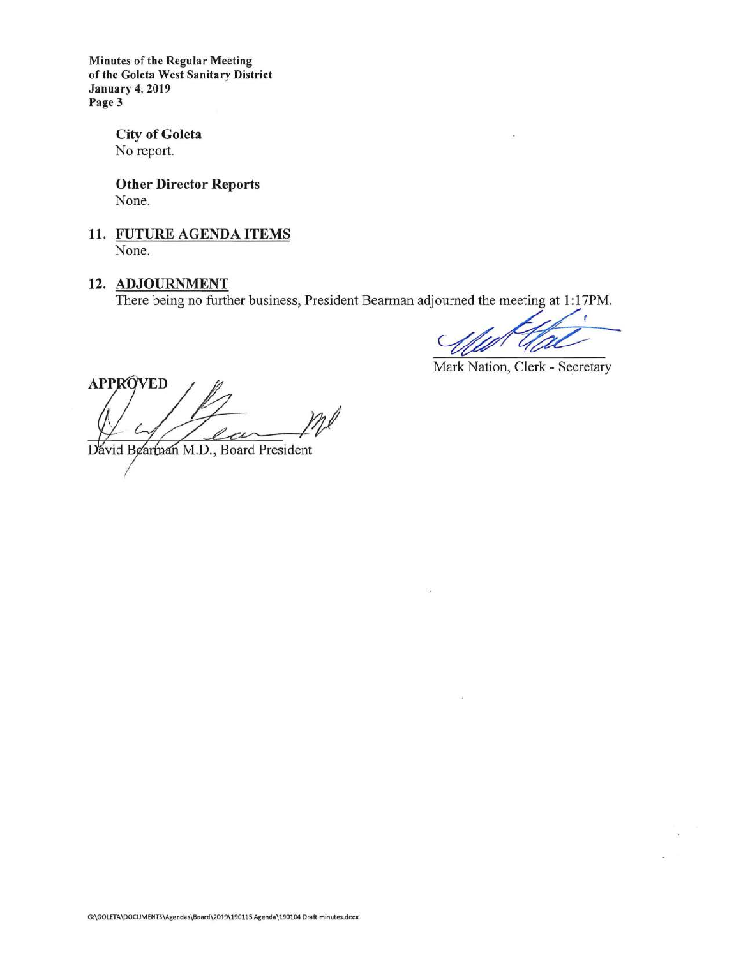**Minutes of the Regular Meeting of the Goleta West Sanitary District January 4, 2019 Page3** 

> **City of Goleta**  No report.

**Other Director Reports**  None.

**11. FUTURE AGENDA ITEMS**  None.

# 12. ADJOURNMENT

There being no further business, President Bearman adjourned the meeting at 1: 17PM.

Mark Nation, Clerk - Secretary

**APPRÓVED** 

David Bearman M.D., Board President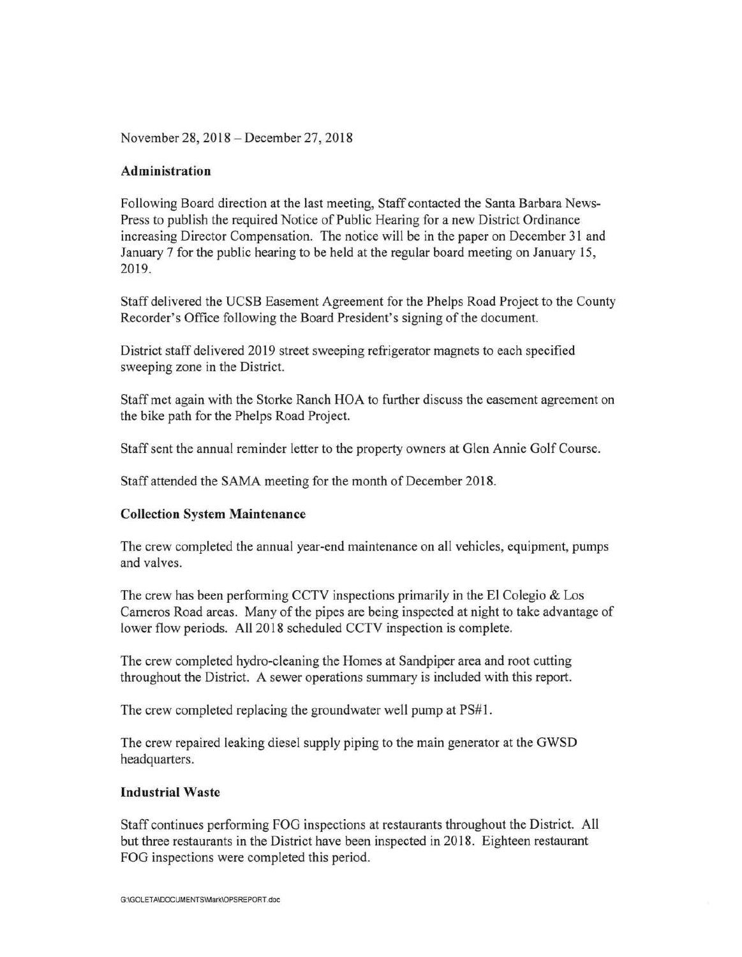November 28, 2018-December 27, 2018

#### **Administration**

Following Board direction at the last meeting, Staff contacted the Santa Barbara News-Press to publish the required Notice of Public Hearing for a new District Ordinance increasing Director Compensation. The notice will be in the paper on December 31 and January 7 for the public hearing to be held at the regular board meeting on January 15, 2019.

Staff delivered the UCSB Easement Agreement for the Phelps Road Project to the County Recorder 's Office following the Board President's signing of the document.

District staff delivered 2019 street sweeping refrigerator magnets to each specified sweeping zone in the District.

Staff met again with the Storke Ranch HOA to further discuss the easement agreement on the bike path for the Phelps Road Project.

Staff sent the annual reminder letter to the property owners at Glen Annie Golf Course.

Staff attended the SAMA meeting for the month of December 2018.

### **Collection System Maintenance**

The crew completed the annual year-end maintenance on all vehicles, equipment, pumps and valves.

The crew has been performing CCTV inspections primarily in the El Colegio & Los Cameros Road areas. Many of the pipes are being inspected at night to take advantage of lower flow periods. All 2018 scheduled CCTV inspection is complete.

The crew completed hydro-cleaning the Homes at Sandpiper area and root cutting throughout the District. A sewer operations summary is included with this report.

The crew completed replacing the groundwater well pump at PS#1.

The crew repaired leaking diesel supply piping to the main generator at the GWSD headquarters.

#### **Industrial Waste**

Staff continues performing FOG inspections at restaurants throughout the District. All but three restaurants in the District have been inspected in 2018. Eighteen restaurant FOG inspections were completed this period.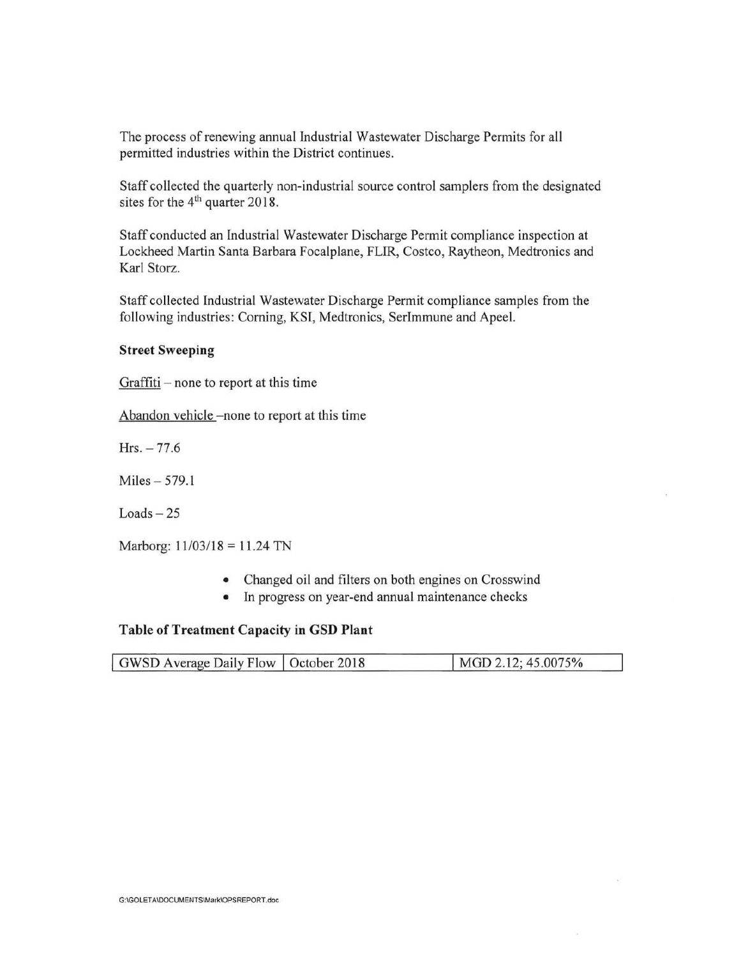The process of renewing annual Industrial Wastewater Discharge Permits for all permitted industries within the District continues.

Staff collected the quarterly non-industrial source control samplers from the designated sites for the 4<sup>th</sup> quarter 2018.

Staff conducted an Industrial Wastewater Discharge Permit compliance inspection at Lockheed Martin Santa Barbara Focalplane, FLIR, Costco, Raytheon, Medtronics and Karl Storz.

Staff collected Industrial Wastewater Discharge Permit compliance samples from the following industries: Corning, KSI, Medtronics, SerImmune and Apeel.

#### **Street Sweeping**

 $Graffiti$  – none to report at this time

Abandon vehicle -none to report at this time

 $Hrs. -77.6$ 

Miles - 579.1

 $Loads - 25$ 

Marborg:  $11/03/18 = 11.24$  TN

- Changed oil and filters on both engines on Crosswind
- In progress on year-end annual maintenance checks

#### **Table of Treatment Capacity in GSD Plant**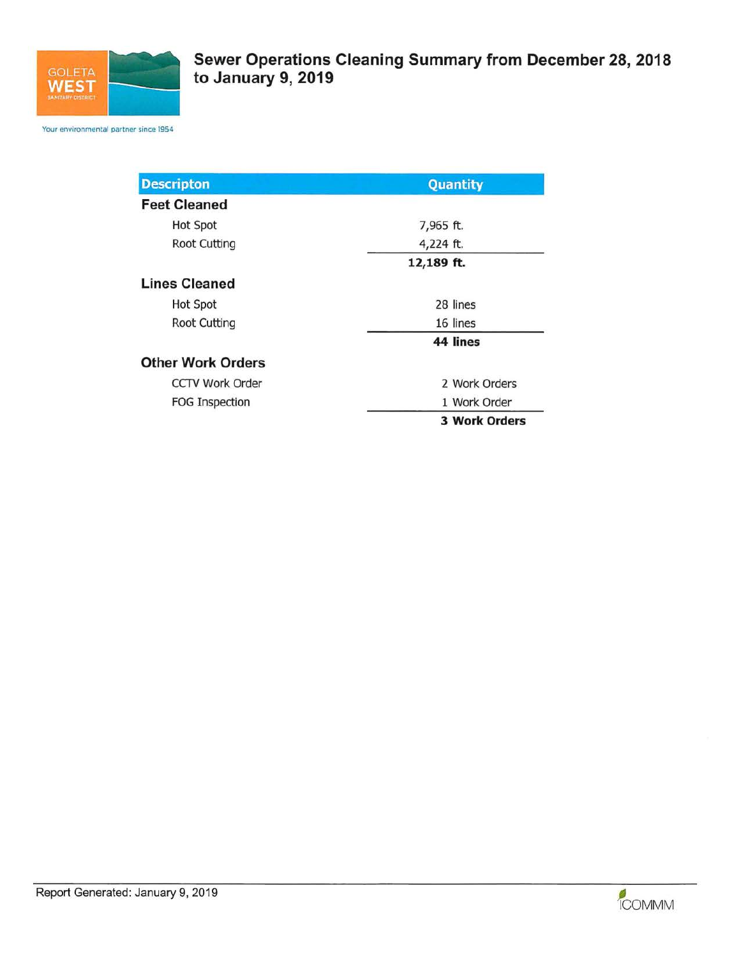

Your environmental partner since 1954

| <b>Descripton</b>        | Quantity             |  |  |
|--------------------------|----------------------|--|--|
| <b>Feet Cleaned</b>      |                      |  |  |
| <b>Hot Spot</b>          | 7,965 ft.            |  |  |
| Root Cutting             | 4,224 ft.            |  |  |
|                          | 12,189 ft.           |  |  |
| <b>Lines Cleaned</b>     |                      |  |  |
| <b>Hot Spot</b>          | 28 lines             |  |  |
| <b>Root Cutting</b>      | 16 lines             |  |  |
|                          | 44 lines             |  |  |
| <b>Other Work Orders</b> |                      |  |  |
| <b>CCTV Work Order</b>   | 2 Work Orders        |  |  |
| <b>FOG Inspection</b>    | 1 Work Order         |  |  |
|                          | <b>3 Work Orders</b> |  |  |